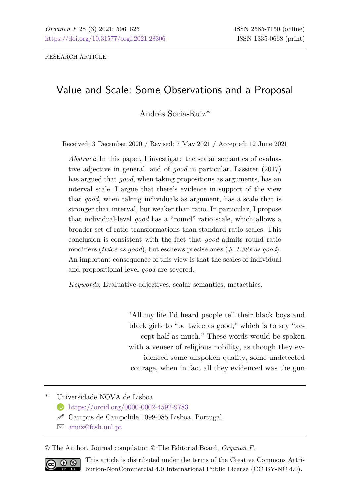RESEARCH ARTICLE

# Value and Scale: Some Observations and a Proposal

Andrés Soria-Ruiz\*

Received: 3 December 2020 / Revised: 7 May 2021 / Accepted: 12 June 2021

*Abstract*: In this paper, I investigate the scalar semantics of evaluative adjective in general, and of *good* in particular. Lassiter (2017) has argued that *good*, when taking propositions as arguments, has an interval scale. I argue that there's evidence in support of the view that *good*, when taking individuals as argument, has a scale that is stronger than interval, but weaker than ratio. In particular, I propose that individual-level *good* has a "round" ratio scale, which allows a broader set of ratio transformations than standard ratio scales. This conclusion is consistent with the fact that *good* admits round ratio modifiers (*twice as good*), but eschews precise ones (# *1.38x as good*). An important consequence of this view is that the scales of individual and propositional-level *good* are severed.

*Keywords*: Evaluative adjectives, scalar semantics; metaethics.

"All my life I'd heard people tell their black boys and black girls to "be twice as good," which is to say "accept half as much." These words would be spoken with a veneer of religious nobility, as though they evidenced some unspoken quality, some undetected courage, when in fact all they evidenced was the gun

\* Universidade NOVA de Lisboa

<https://orcid.org/0000-0002-4592-9783>

 $\mathscr S$  Campus de Campolide 1099-085 Lisboa, Portugal.

[aruiz@fcsh.unl.pt](mailto:aruiz@fcsh.unl.pt)

© The Author. Journal compilation © The Editorial Board, *Organon F*.



This article is distributed under the terms of the Creative Commons Attribution-NonCommercial 4.0 International Public License (CC BY-NC 4.0).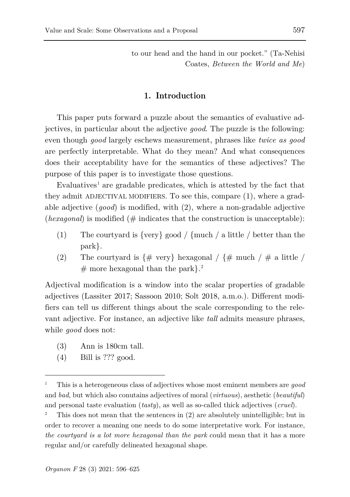to our head and the hand in our pocket." (Ta-Nehisi Coates, *Between the World and Me*)

### **1. Introduction**

This paper puts forward a puzzle about the semantics of evaluative adjectives, in particular about the adjective *good*. The puzzle is the following: even though *good* largely eschews measurement, phrases like *twice as good* are perfectly interpretable. What do they mean? And what consequences does their acceptability have for the semantics of these adjectives? The purpose of this paper is to investigate those questions.

 $E$ valuatives<sup>[1](#page-1-0)</sup> are gradable predicates, which is attested by the fact that they admit ADJECTIVAL MODIFIERS. To see this, compare (1), where a gradable adjective (*good*) is modified, with (2), where a non-gradable adjective  $(hexagonal)$  is modified ( $#$  indicates that the construction is unacceptable):

- (1) The courtyard is {very} good / {much / a little / better than the park}.
- (2) The courtyard is  $\{\# \text{ very} \}$  hexagonal /  $\{\# \text{ much } / \# \text{ a little } / \}$  $#$  more hexagonal than the park}.<sup>[2](#page-1-1)</sup>

Adjectival modification is a window into the scalar properties of gradable adjectives (Lassiter 2017; Sassoon 2010; Solt 2018, a.m.o.). Different modifiers can tell us different things about the scale corresponding to the relevant adjective. For instance, an adjective like *tall* admits measure phrases, while *good* does not:

- (3) Ann is 180cm tall.
- (4) Bill is ??? good.

<span id="page-1-0"></span><sup>1</sup> This is a heterogeneous class of adjectives whose most eminent members are *good* and *bad*, but which also conutains adjectives of moral (*virtuous*), aesthetic (*beautiful*) and personal taste evaluation (*tasty*), as well as so-called thick adjectives (*cruel*).

<span id="page-1-1"></span><sup>2</sup> This does not mean that the sentences in (2) are absolutely unintelligible; but in order to recover a meaning one needs to do some interpretative work. For instance, *the courtyard is a lot more hexagonal than the park* could mean that it has a more regular and/or carefully delineated hexagonal shape.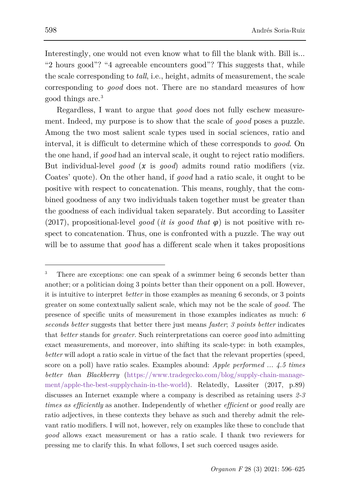Interestingly, one would not even know what to fill the blank with. Bill is... "2 hours good"? "4 agreeable encounters good"? This suggests that, while the scale corresponding to *tall*, i.e., height, admits of measurement, the scale corresponding to *good* does not. There are no standard measures of how good things are.[3](#page-2-0)

Regardless, I want to argue that *good* does not fully eschew measurement. Indeed, my purpose is to show that the scale of *good* poses a puzzle. Among the two most salient scale types used in social sciences, ratio and interval, it is difficult to determine which of these corresponds to *good*. On the one hand, if *good* had an interval scale, it ought to reject ratio modifiers. But individual-level  $qood$  ( $x$  is  $qood$ ) admits round ratio modifiers (viz. Coates' quote). On the other hand, if *good* had a ratio scale, it ought to be positive with respect to concatenation. This means, roughly, that the combined goodness of any two individuals taken together must be greater than the goodness of each individual taken separately. But according to Lassiter (2017), propositional-level *good* (*it is good that*  $\varphi$ ) is not positive with respect to concatenation. Thus, one is confronted with a puzzle. The way out will be to assume that *good* has a different scale when it takes propositions

ł

<span id="page-2-0"></span><sup>3</sup> There are exceptions: one can speak of a swimmer being 6 seconds better than another; or a politician doing 3 points better than their opponent on a poll. However, it is intuitive to interpret *better* in those examples as meaning 6 seconds, or 3 points greater on some contextually salient scale, which may not be the scale of *good.* The presence of specific units of measurement in those examples indicates as much: *6 seconds better* suggests that better there just means *faster*; *3 points better* indicates that *better* stands for *greater*. Such reinterpretations can coerce *good* into admitting exact measurements, and moreover, into shifting its scale-type: in both examples, *better* will adopt a ratio scale in virtue of the fact that the relevant properties (speed, score on a poll) have ratio scales. Examples abound: *Apple performed ... 4.5 times better than Blackberry* [\(https://www.tradegecko.com/blog/supply-chain-manage](https://www.tradegecko.com/blog/supply-chain-management/apple-the-best-supplychain-in-the-world)[ment/apple-the-best-supplychain-in-the-world\)](https://www.tradegecko.com/blog/supply-chain-management/apple-the-best-supplychain-in-the-world). Relatedly, Lassiter (2017, p.89) discusses an Internet example where a company is described as retaining users *2-3 times as efficiently* as another. Independently of whether *efficient* or *good* really are ratio adjectives, in these contexts they behave as such and thereby admit the relevant ratio modifiers. I will not, however, rely on examples like these to conclude that *good* allows exact measurement or has a ratio scale. I thank two reviewers for pressing me to clarify this. In what follows, I set such coerced usages aside.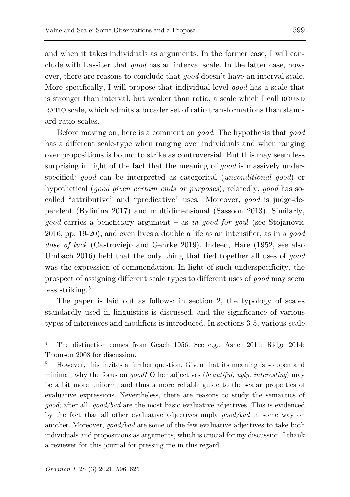and when it takes individuals as arguments. In the former case, I will conclude with Lassiter that *good* has an interval scale. In the latter case, however, there are reasons to conclude that *good* doesn't have an interval scale. More specifically, I will propose that individual-level *good* has a scale that is stronger than interval, but weaker than ratio, a scale which I call ROUND RATIO scale, which admits a broader set of ratio transformations than standard ratio scales.

Before moving on, here is a comment on *good*. The hypothesis that *good* has a different scale-type when ranging over individuals and when ranging over propositions is bound to strike as controversial. But this may seem less surprising in light of the fact that the meaning of *good* is massively underspecified: *good* can be interpreted as categorical (*unconditional good*) or hypothetical (*good given certain ends or purposes*); relatedly, *good* has so-called "attributive" and "predicative" uses.<sup>[4](#page-3-0)</sup> Moreover, *good* is judge-dependent (Bylinina 2017) and multidimensional (Sassoon 2013). Similarly, *good* carries a beneficiary argument – as *in good for you*! (see Stojanovic 2016, pp. 19-20), and even lives a double a life as an intensifier, as in *a good dose of luck* (Castroviejo and Gehrke 2019). Indeed, Hare (1952, see also Umbach 2016) held that the only thing that tied together all uses of *good* was the expression of commendation. In light of such underspecificity, the prospect of assigning different scale types to different uses of *good* may seem less striking.<sup>[5](#page-3-1)</sup>

The paper is laid out as follows: in section 2, the typology of scales standardly used in linguistics is discussed, and the significance of various types of inferences and modifiers is introduced. In sections 3-5, various scale

<span id="page-3-0"></span><sup>4</sup> The distinction comes from Geach 1956. See e.g., Asher 2011; Ridge 2014; Thomson 2008 for discussion.

<span id="page-3-1"></span><sup>5</sup> However, this invites a further question. Given that its meaning is so open and minimal, why the focus on *good*? Other adjectives (*beautiful, ugly, interesting*) may be a bit more uniform, and thus a more reliable guide to the scalar properties of evaluative expressions. Nevertheless, there are reasons to study the semantics of *good*; after all, *good/bad* are the most basic evaluative adjectives. This is evidenced by the fact that all other evaluative adjectives imply *good/bad* in some way on another. Moreover, *good/bad* are some of the few evaluative adjectives to take both individuals and propositions as arguments, which is crucial for my discussion. I thank a reviewer for this journal for pressing me in this regard.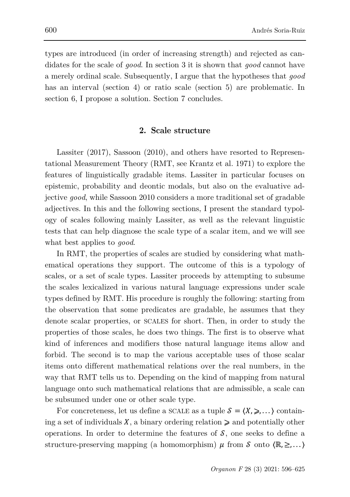types are introduced (in order of increasing strength) and rejected as candidates for the scale of *good*. In section 3 it is shown that *good* cannot have a merely ordinal scale. Subsequently, I argue that the hypotheses that *good* has an interval (section 4) or ratio scale (section 5) are problematic. In section 6, I propose a solution. Section 7 concludes.

### **2. Scale structure**

Lassiter (2017), Sassoon (2010), and others have resorted to Representational Measurement Theory (RMT, see Krantz et al. 1971) to explore the features of linguistically gradable items. Lassiter in particular focuses on epistemic, probability and deontic modals, but also on the evaluative adjective *good*, while Sassoon 2010 considers a more traditional set of gradable adjectives. In this and the following sections, I present the standard typology of scales following mainly Lassiter, as well as the relevant linguistic tests that can help diagnose the scale type of a scalar item, and we will see what best applies to *good*.

In RMT, the properties of scales are studied by considering what mathematical operations they support. The outcome of this is a typology of scales, or a set of scale types. Lassiter proceeds by attempting to subsume the scales lexicalized in various natural language expressions under scale types defined by RMT. His procedure is roughly the following: starting from the observation that some predicates are gradable, he assumes that they denote scalar properties, or SCALES for short. Then, in order to study the properties of those scales, he does two things. The first is to observe what kind of inferences and modifiers those natural language items allow and forbid. The second is to map the various acceptable uses of those scalar items onto different mathematical relations over the real numbers, in the way that RMT tells us to. Depending on the kind of mapping from natural language onto such mathematical relations that are admissible, a scale can be subsumed under one or other scale type.

For concreteness, let us define a SCALE as a tuple  $S = \langle X, \geqslant, \ldots \rangle$  containing a set of individuals  $X$ , a binary ordering relation  $\geq$  and potentially other operations. In order to determine the features of  $\mathcal{S}$ , one seeks to define a structure-preserving mapping (a homomorphism)  $\mu$  from  $\delta$  onto  $\langle \mathbb{R}, \geq, \ldots \rangle$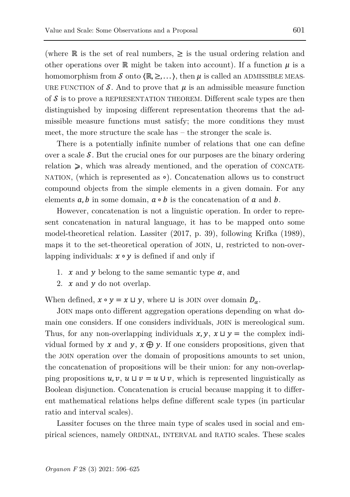(where  $\mathbb R$  is the set of real numbers,  $\geq$  is the usual ordering relation and other operations over R might be taken into account). If a function  $\mu$  is a homomorphism from  $\delta$  onto  $\langle \mathbb{R}, \geq, \ldots \rangle$ , then  $\mu$  is called an ADMISSIBLE MEAS-URE FUNCTION of  $\mathcal{S}$ . And to prove that  $\mu$  is an admissible measure function of  $\mathcal S$  is to prove a REPRESENTATION THEOREM. Different scale types are then distinguished by imposing different representation theorems that the admissible measure functions must satisfy; the more conditions they must meet, the more structure the scale has – the stronger the scale is.

There is a potentially infinite number of relations that one can define over a scale  $\mathcal S$ . But the crucial ones for our purposes are the binary ordering relation  $\geq$ , which was already mentioned, and the operation of CONCATE-NATION, (which is represented as ∘). Concatenation allows us to construct compound objects from the simple elements in a given domain. For any elements  $a, b$  in some domain,  $a \circ b$  is the concatenation of  $a$  and  $b$ .

However, concatenation is not a linguistic operation. In order to represent concatenation in natural language, it has to be mapped onto some model-theoretical relation. Lassiter (2017, p. 39), following Krifka (1989), maps it to the set-theoretical operation of JOIN, ⊔, restricted to non-overlapping individuals:  $x \circ y$  is defined if and only if

- 1.  $x$  and  $y$  belong to the same semantic type  $\alpha$ , and
- 2.  $x$  and  $y$  do not overlap.

When defined,  $x \circ y = x \sqcup y$ , where  $\sqcup$  is JOIN over domain  $D_{\alpha}$ .

JOIN maps onto different aggregation operations depending on what domain one considers. If one considers individuals, JOIN is mereological sum. Thus, for any non-overlapping individuals  $x, y, x \sqcup y =$  the complex individual formed by  $x$  and  $y$ ,  $x \oplus y$ . If one considers propositions, given that the JOIN operation over the domain of propositions amounts to set union, the concatenation of propositions will be their union: for any non-overlapping propositions  $u, v, u \sqcup v = u \cup v$ , which is represented linguistically as Boolean disjunction. Concatenation is crucial because mapping it to different mathematical relations helps define different scale types (in particular ratio and interval scales).

Lassiter focuses on the three main type of scales used in social and empirical sciences, namely ORDINAL, INTERVAL and RATIO scales. These scales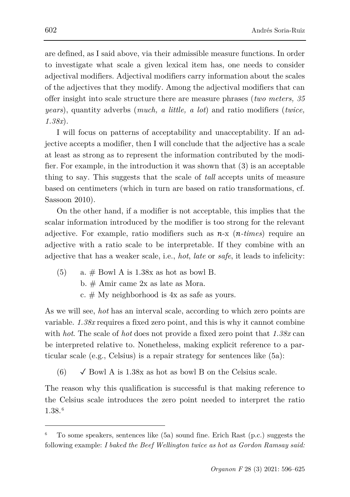are defined, as I said above, via their admissible measure functions. In order to investigate what scale a given lexical item has, one needs to consider adjectival modifiers. Adjectival modifiers carry information about the scales of the adjectives that they modify. Among the adjectival modifiers that can offer insight into scale structure there are measure phrases (*two meters, 35 years*), quantity adverbs (*much, a little, a lot*) and ratio modifiers (*twice, 1.38x*).

I will focus on patterns of acceptability and unacceptability. If an adjective accepts a modifier, then I will conclude that the adjective has a scale at least as strong as to represent the information contributed by the modifier. For example, in the introduction it was shown that (3) is an acceptable thing to say. This suggests that the scale of *tall* accepts units of measure based on centimeters (which in turn are based on ratio transformations, cf. Sassoon 2010).

On the other hand, if a modifier is not acceptable, this implies that the scalar information introduced by the modifier is too strong for the relevant adjective. For example, ratio modifiers such as  $n-x$  ( $n-times$ ) require an adjective with a ratio scale to be interpretable. If they combine with an adjective that has a weaker scale, i.e., *hot*, *late* or *safe*, it leads to infelicity:

(5) a.  $\#$  Bowl A is 1.38x as hot as bowl B. b. # Amir came 2x as late as Mora. c.  $#$  My neighborhood is  $4x$  as safe as yours.

As we will see, *hot* has an interval scale, according to which zero points are variable. *1.38x* requires a fixed zero point, and this is why it cannot combine with *hot*. The scale of *hot* does not provide a fixed zero point that *1.38x* can be interpreted relative to. Nonetheless, making explicit reference to a particular scale (e.g., Celsius) is a repair strategy for sentences like (5a):

(6)  $\checkmark$  Bowl A is 1.38x as hot as bowl B on the Celsius scale.

The reason why this qualification is successful is that making reference to the Celsius scale introduces the zero point needed to interpret the ratio 1.38.[6](#page-6-0)

<span id="page-6-0"></span><sup>6</sup> To some speakers, sentences like (5a) sound fine. Erich Rast (p.c.) suggests the following example: *I baked the Beef Wellington twice as hot as Gordon Ramsay said:*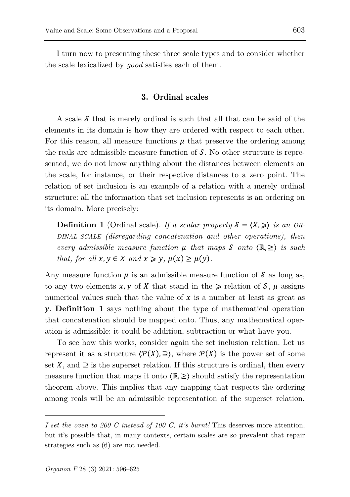I turn now to presenting these three scale types and to consider whether the scale lexicalized by *good* satisfies each of them.

# **3. Ordinal scales**

A scale  $\delta$  that is merely ordinal is such that all that can be said of the elements in its domain is how they are ordered with respect to each other. For this reason, all measure functions  $\mu$  that preserve the ordering among the reals are admissible measure function of  $\mathcal{S}$ . No other structure is represented; we do not know anything about the distances between elements on the scale, for instance, or their respective distances to a zero point. The relation of set inclusion is an example of a relation with a merely ordinal structure: all the information that set inclusion represents is an ordering on its domain. More precisely:

**Definition 1** (Ordinal scale). *If a scalar property*  $S = \langle X, \rangle$  *is an OR-DINAL SCALE (disregarding concatenation and other operations), then every admissible measure function that maps onto* ⟨ℝ, ≥⟩ *is such that, for all*  $x, y \in X$  *and*  $x \geq y$ ,  $\mu(x) \geq \mu(y)$ .

Any measure function  $\mu$  is an admissible measure function of  $\mathcal S$  as long as, to any two elements  $x, y$  of X that stand in the  $\geq$  relation of  $\mathcal{S}, \mu$  assigns numerical values such that the value of  $x$  is a number at least as great as . **Definition 1** says nothing about the type of mathematical operation that concatenation should be mapped onto. Thus, any mathematical operation is admissible; it could be addition, subtraction or what have you.

To see how this works, consider again the set inclusion relation. Let us represent it as a structure  $\langle \mathcal{P}(X), \Xi \rangle$ , where  $\mathcal{P}(X)$  is the power set of some set X, and  $\supseteq$  is the superset relation. If this structure is ordinal, then every measure function that maps it onto  $(\mathbb{R}, \geq)$  should satisfy the representation theorem above. This implies that any mapping that respects the ordering among reals will be an admissible representation of the superset relation.

*I set the oven to 200 C instead of 100 C, it's burnt!* This deserves more attention, but it's possible that, in many contexts, certain scales are so prevalent that repair strategies such as (6) are not needed.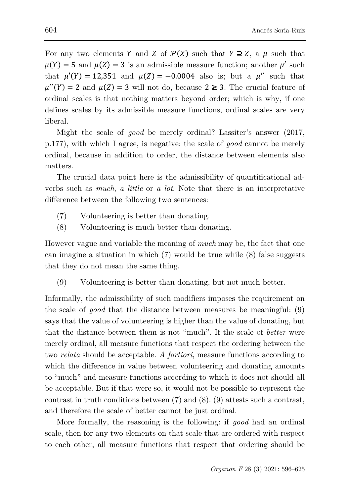For any two elements Y and Z of  $\mathcal{P}(X)$  such that  $Y \supseteq Z$ , a  $\mu$  such that  $\mu(Y) = 5$  and  $\mu(Z) = 3$  is an admissible measure function; another  $\mu'$  such that  $\mu'(Y) = 12,351$  and  $\mu(Z) = -0.0004$  also is; but a  $\mu''$  such that  $\mu''(Y) = 2$  and  $\mu(Z) = 3$  will not do, because  $2 \not\geq 3$ . The crucial feature of ordinal scales is that nothing matters beyond order; which is why, if one defines scales by its admissible measure functions, ordinal scales are very liberal.

Might the scale of *good* be merely ordinal? Lassiter's answer (2017, p.177), with which I agree, is negative: the scale of *good* cannot be merely ordinal, because in addition to order, the distance between elements also matters.

The crucial data point here is the admissibility of quantificational adverbs such as *much*, *a little* or *a lot*. Note that there is an interpretative difference between the following two sentences:

- (7) Volunteering is better than donating.
- (8) Volunteering is much better than donating.

However vague and variable the meaning of *much* may be, the fact that one can imagine a situation in which (7) would be true while (8) false suggests that they do not mean the same thing.

(9) Volunteering is better than donating, but not much better.

Informally, the admissibility of such modifiers imposes the requirement on the scale of *good* that the distance between measures be meaningful: (9) says that the value of volunteering is higher than the value of donating, but that the distance between them is not "much". If the scale of *better* were merely ordinal, all measure functions that respect the ordering between the two *relata* should be acceptable. *A fortiori*, measure functions according to which the difference in value between volunteering and donating amounts to "much" and measure functions according to which it does not should all be acceptable. But if that were so, it would not be possible to represent the contrast in truth conditions between (7) and (8). (9) attests such a contrast, and therefore the scale of better cannot be just ordinal.

More formally, the reasoning is the following: if *good* had an ordinal scale, then for any two elements on that scale that are ordered with respect to each other, all measure functions that respect that ordering should be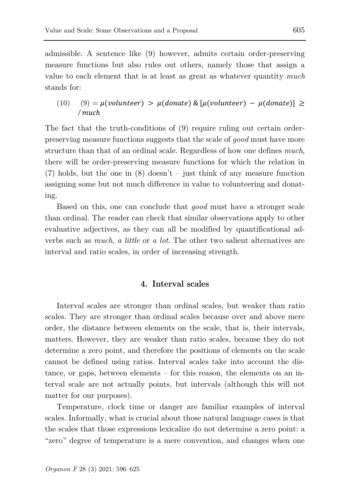admissible. A sentence like (9) however, admits certain order-preserving measure functions but also rules out others, namely those that assign a value to each element that is at least as great as whatever quantity *much* stands for:

(10) 
$$
(9) = \mu(\text{volume}) > \mu(\text{donate}) \& [\mu(\text{volume}) - \mu(\text{donate})] \ge
$$
  
\n/much

The fact that the truth-conditions of (9) require ruling out certain orderpreserving measure functions suggests that the scale of *good* must have more structure than that of an ordinal scale. Regardless of how one defines *much*, there will be order-preserving measure functions for which the relation in (7) holds, but the one in  $(8)$  doesn't – just think of any measure function assigning some but not much difference in value to volunteering and donating.

Based on this, one can conclude that *good* must have a stronger scale than ordinal. The reader can check that similar observations apply to other evaluative adjectives, as they can all be modified by quantificational adverbs such as *much*, *a little* or *a lot*. The other two salient alternatives are interval and ratio scales, in order of increasing strength.

## **4. Interval scales**

Interval scales are stronger than ordinal scales, but weaker than ratio scales. They are stronger than ordinal scales because over and above mere order, the distance between elements on the scale, that is, their intervals, matters. However, they are weaker than ratio scales, because they do not determine a zero point, and therefore the positions of elements on the scale cannot be defined using ratios. Interval scales take into account the distance, or gaps, between elements – for this reason, the elements on an interval scale are not actually points, but intervals (although this will not matter for our purposes).

Temperature, clock time or danger are familiar examples of interval scales. Informally, what is crucial about those natural language cases is that the scales that those expressions lexicalize do not determine a zero point: a "zero" degree of temperature is a mere convention, and changes when one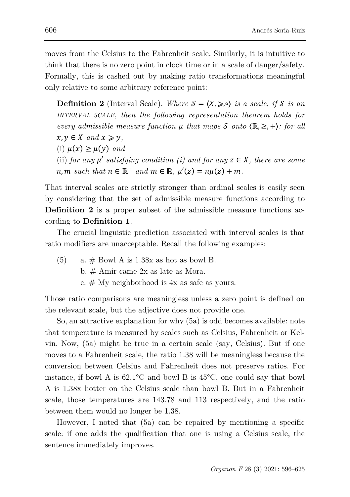moves from the Celsius to the Fahrenheit scale. Similarly, it is intuitive to think that there is no zero point in clock time or in a scale of danger/safety. Formally, this is cashed out by making ratio transformations meaningful only relative to some arbitrary reference point:

**Definition 2** (Interval Scale). *Where*  $S = \langle X, \geqslant \rangle$  *is a scale, if S is an INTERVAL SCALE, then the following representation theorem holds for every admissible measure function*  $\mu$  that maps  $\mathcal S$  onto  $\langle \mathbb R, \geq, + \rangle$ *: for all*  $x, y \in X$  and  $x \geq y$ , (i)  $\mu(x) \geq \mu(y)$  and (ii) *for any*  $\mu'$  *satisfying condition (i) and for any*  $z \in X$ *, there are some*  $n, m \text{ such that } n \in \mathbb{R}^+ \text{ and } m \in \mathbb{R}, \mu'(z) = n\mu(z) + m.$ 

That interval scales are strictly stronger than ordinal scales is easily seen by considering that the set of admissible measure functions according to **Definition 2** is a proper subset of the admissible measure functions according to **Definition 1**.

The crucial linguistic prediction associated with interval scales is that ratio modifiers are unacceptable. Recall the following examples:

(5) a.  $\#$  Bowl A is 1.38x as hot as bowl B. b. # Amir came 2x as late as Mora. c.  $#$  My neighborhood is  $4x$  as safe as yours.

Those ratio comparisons are meaningless unless a zero point is defined on the relevant scale, but the adjective does not provide one.

So, an attractive explanation for why (5a) is odd becomes available: note that temperature is measured by scales such as Celsius, Fahrenheit or Kelvin. Now, (5a) might be true in a certain scale (say, Celsius). But if one moves to a Fahrenheit scale, the ratio 1.38 will be meaningless because the conversion between Celsius and Fahrenheit does not preserve ratios. For instance, if bowl A is 62.1°C and bowl B is 45°C, one could say that bowl A is 1.38x hotter on the Celsius scale than bowl B. But in a Fahrenheit scale, those temperatures are 143.78 and 113 respectively, and the ratio between them would no longer be 1.38.

However, I noted that (5a) can be repaired by mentioning a specific scale: if one adds the qualification that one is using a Celsius scale, the sentence immediately improves.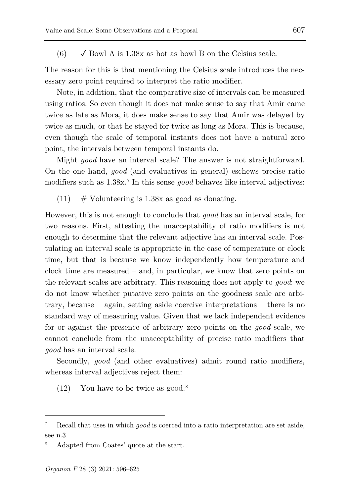(6)  $\checkmark$  Bowl A is 1.38x as hot as bowl B on the Celsius scale.

The reason for this is that mentioning the Celsius scale introduces the necessary zero point required to interpret the ratio modifier.

Note, in addition, that the comparative size of intervals can be measured using ratios. So even though it does not make sense to say that Amir came twice as late as Mora, it does make sense to say that Amir was delayed by twice as much, or that he stayed for twice as long as Mora. This is because, even though the scale of temporal instants does not have a natural zero point, the intervals between temporal instants do.

Might *good* have an interval scale? The answer is not straightforward. On the one hand, *good* (and evaluatives in general) eschews precise ratio modifiers such as  $1.38x$ .<sup>[7](#page-11-0)</sup> In this sense *good* behaves like interval adjectives:

(11)  $\#$  Volunteering is 1.38x as good as donating.

However, this is not enough to conclude that *good* has an interval scale, for two reasons. First, attesting the unacceptability of ratio modifiers is not enough to determine that the relevant adjective has an interval scale. Postulating an interval scale is appropriate in the case of temperature or clock time, but that is because we know independently how temperature and clock time are measured – and, in particular, we know that zero points on the relevant scales are arbitrary. This reasoning does not apply to *good*: we do not know whether putative zero points on the goodness scale are arbitrary, because – again, setting aside coercive interpretations – there is no standard way of measuring value. Given that we lack independent evidence for or against the presence of arbitrary zero points on the *good* scale, we cannot conclude from the unacceptability of precise ratio modifiers that *good* has an interval scale.

Secondly, *good* (and other evaluatives) admit round ratio modifiers, whereas interval adjectives reject them:

 $(12)$  You have to be twice as good.<sup>[8](#page-11-1)</sup>

<span id="page-11-0"></span><sup>7</sup> Recall that uses in which *good* is coerced into a ratio interpretation are set aside, see n.3.

<span id="page-11-1"></span>Adapted from Coates' quote at the start.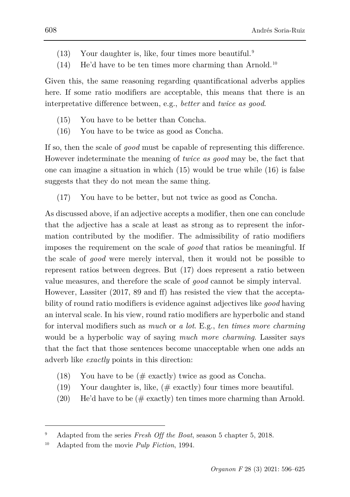- $(13)$  Your daughter is, like, four times more beautiful.<sup>[9](#page-12-0)</sup>
- $(14)$  He'd have to be ten times more charming than Arnold.<sup>[10](#page-12-1)</sup>

Given this, the same reasoning regarding quantificational adverbs applies here. If some ratio modifiers are acceptable, this means that there is an interpretative difference between, e.g., *better* and *twice as good*.

- (15) You have to be better than Concha.
- (16) You have to be twice as good as Concha.

If so, then the scale of *good* must be capable of representing this difference. However indeterminate the meaning of *twice as good* may be, the fact that one can imagine a situation in which (15) would be true while (16) is false suggests that they do not mean the same thing.

(17) You have to be better, but not twice as good as Concha.

As discussed above, if an adjective accepts a modifier, then one can conclude that the adjective has a scale at least as strong as to represent the information contributed by the modifier. The admissibility of ratio modifiers imposes the requirement on the scale of *good* that ratios be meaningful. If the scale of *good* were merely interval, then it would not be possible to represent ratios between degrees. But (17) does represent a ratio between value measures, and therefore the scale of *good* cannot be simply interval. However, Lassiter (2017, 89 and ff) has resisted the view that the acceptability of round ratio modifiers is evidence against adjectives like *good* having an interval scale. In his view, round ratio modifiers are hyperbolic and stand for interval modifiers such as *much* or *a lot*. E.g., *ten times more charming* would be a hyperbolic way of saying *much more charming*. Lassiter says that the fact that those sentences become unacceptable when one adds an adverb like *exactly* points in this direction:

- (18) You have to be  $(\text{# exactly})$  twice as good as Concha.
- (19) Your daughter is, like, (# exactly) four times more beautiful.
- (20) He'd have to be  $(\text{\# exactly})$  ten times more charming than Arnold.

<span id="page-12-0"></span><sup>9</sup> Adapted from the series *Fresh Off the Boat*, season 5 chapter 5, 2018.

<span id="page-12-1"></span><sup>10</sup> Adapted from the movie *Pulp Fiction*, 1994.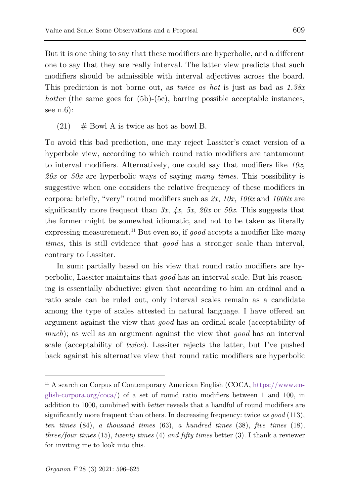But it is one thing to say that these modifiers are hyperbolic, and a different one to say that they are really interval. The latter view predicts that such modifiers should be admissible with interval adjectives across the board. This prediction is not borne out, as *twice as hot* is just as bad as *1.38x hotter* (the same goes for (5b)-(5c), barring possible acceptable instances, see n.6):

 $(21)$  # Bowl A is twice as hot as bowl B.

To avoid this bad prediction, one may reject Lassiter's exact version of a hyperbole view, according to which round ratio modifiers are tantamount to interval modifiers. Alternatively, one could say that modifiers like *10x*, *20x* or *50x* are hyperbolic ways of saying *many times*. This possibility is suggestive when one considers the relative frequency of these modifiers in corpora: briefly, "very" round modifiers such as *2x*, *10x*, *100x* and *1000x* are significantly more frequent than  $3x$ ,  $4x$ ,  $5x$ ,  $20x$  or  $50x$ . This suggests that the former might be somewhat idiomatic, and not to be taken as literally expressing measurement.[11](#page-13-0) But even so, if *good* accepts a modifier like *many times*, this is still evidence that *good* has a stronger scale than interval, contrary to Lassiter.

In sum: partially based on his view that round ratio modifiers are hyperbolic, Lassiter maintains that *good* has an interval scale. But his reasoning is essentially abductive: given that according to him an ordinal and a ratio scale can be ruled out, only interval scales remain as a candidate among the type of scales attested in natural language. I have offered an argument against the view that *good* has an ordinal scale (acceptability of *much*); as well as an argument against the view that *good* has an interval scale (acceptability of *twice*). Lassiter rejects the latter, but I've pushed back against his alternative view that round ratio modifiers are hyperbolic

<span id="page-13-0"></span><sup>11</sup> A search on Corpus of Contemporary American English (COCA, [https://www.en](https://www.english-corpora.org/coca/)[glish-corpora.org/coca/\)](https://www.english-corpora.org/coca/) of a set of round ratio modifiers between 1 and 100, in addition to 1000, combined with *better* reveals that a handful of round modifiers are significantly more frequent than others. In decreasing frequency: twice *as good* (113), *ten times* (84), *a thousand times* (63), *a hundred times* (38), *five times* (18), *three/four times* (15), *twenty times* (4) *and fifty times* better (3). I thank a reviewer for inviting me to look into this.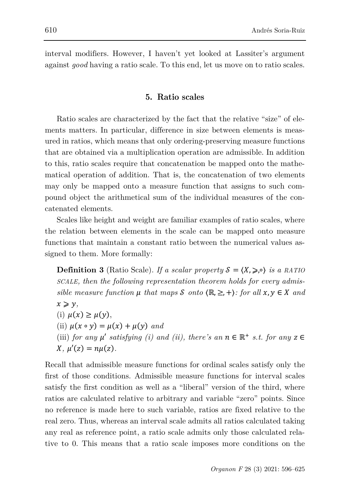interval modifiers. However, I haven't yet looked at Lassiter's argument against *good* having a ratio scale. To this end, let us move on to ratio scales.

# **5. Ratio scales**

Ratio scales are characterized by the fact that the relative "size" of elements matters. In particular, difference in size between elements is measured in ratios, which means that only ordering-preserving measure functions that are obtained via a multiplication operation are admissible. In addition to this, ratio scales require that concatenation be mapped onto the mathematical operation of addition. That is, the concatenation of two elements may only be mapped onto a measure function that assigns to such compound object the arithmetical sum of the individual measures of the concatenated elements.

Scales like height and weight are familiar examples of ratio scales, where the relation between elements in the scale can be mapped onto measure functions that maintain a constant ratio between the numerical values assigned to them. More formally:

**Definition 3** (Ratio Scale). *If a scalar property*  $S = \langle X, \geq 0 \rangle$  *is a RATIO SCALE, then the following representation theorem holds for every admissible measure function*  $\mu$  *that maps*  $\mathcal S$  *onto*  $(\mathbb{R}, \geq, +)$ *: for all*  $x, y \in X$  *and*  $x \geqslant y$ , (i)  $\mu(x) \geq \mu(y)$ , (ii)  $\mu(x \circ y) = \mu(x) + \mu(y)$  and (iii) *for any*  $\mu'$  *satisfying (i) and (ii), there's an*  $n \in \mathbb{R}^+$  *s.t. for any*  $z \in$  $X, \mu'(z) = n\mu(z)$ .

Recall that admissible measure functions for ordinal scales satisfy only the first of those conditions. Admissible measure functions for interval scales satisfy the first condition as well as a "liberal" version of the third, where ratios are calculated relative to arbitrary and variable "zero" points. Since no reference is made here to such variable, ratios are fixed relative to the real zero. Thus, whereas an interval scale admits all ratios calculated taking any real as reference point, a ratio scale admits only those calculated relative to 0. This means that a ratio scale imposes more conditions on the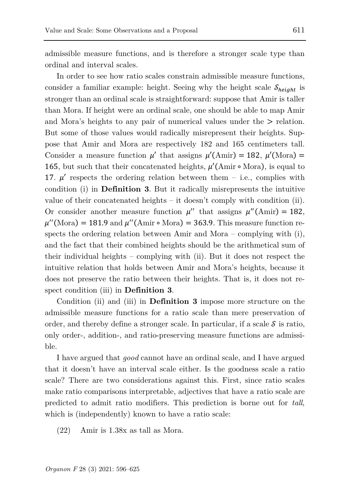admissible measure functions, and is therefore a stronger scale type than ordinal and interval scales.

In order to see how ratio scales constrain admissible measure functions, consider a familiar example: height. Seeing why the height scale  $S_{hei}$  is stronger than an ordinal scale is straightforward: suppose that Amir is taller than Mora. If height were an ordinal scale, one should be able to map Amir and Mora's heights to any pair of numerical values under the  $\geq$  relation. But some of those values would radically misrepresent their heights. Suppose that Amir and Mora are respectively 182 and 165 centimeters tall. Consider a measure function  $\mu'$  that assigns  $\mu'(\text{Amir}) = 182$ ,  $\mu'(\text{Mora}) =$ 165, but such that their concatenated heights,  $\mu'$ (Amir ∘ Mora), is equal to 17.  $\mu'$  respects the ordering relation between them – i.e., complies with condition (i) in **Definition 3**. But it radically misrepresents the intuitive value of their concatenated heights – it doesn't comply with condition (ii). Or consider another measure function  $\mu''$  that assigns  $\mu''(\text{Amir}) = 182$ ,  $\mu''(\text{Mora}) = 181.9$  and  $\mu''(\text{Amir} \circ \text{Mora}) = 363.9$ . This measure function respects the ordering relation between Amir and Mora – complying with  $(i)$ , and the fact that their combined heights should be the arithmetical sum of their individual heights – complying with (ii). But it does not respect the intuitive relation that holds between Amir and Mora's heights, because it does not preserve the ratio between their heights. That is, it does not respect condition (iii) in **Definition 3**.

Condition (ii) and (iii) in **Definition 3** impose more structure on the admissible measure functions for a ratio scale than mere preservation of order, and thereby define a stronger scale. In particular, if a scale  $\mathcal S$  is ratio, only order-, addition-, and ratio-preserving measure functions are admissible.

I have argued that *good* cannot have an ordinal scale, and I have argued that it doesn't have an interval scale either. Is the goodness scale a ratio scale? There are two considerations against this. First, since ratio scales make ratio comparisons interpretable, adjectives that have a ratio scale are predicted to admit ratio modifiers. This prediction is borne out for *tall*, which is (independently) known to have a ratio scale:

(22) Amir is 1.38x as tall as Mora.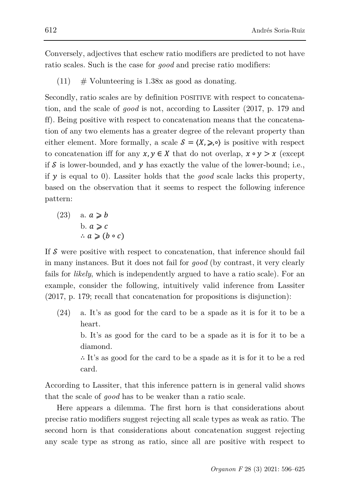Conversely, adjectives that eschew ratio modifiers are predicted to not have ratio scales. Such is the case for *good* and precise ratio modifiers:

 $(11)$  # Volunteering is 1.38x as good as donating.

Secondly, ratio scales are by definition POSITIVE with respect to concatenation, and the scale of *good* is not, according to Lassiter (2017, p. 179 and ff). Being positive with respect to concatenation means that the concatenation of any two elements has a greater degree of the relevant property than either element. More formally, a scale  $S = \langle X, \geq, \circ \rangle$  is positive with respect to concatenation iff for any  $x, y \in X$  that do not overlap,  $x \circ y > x$  (except if  $S$  is lower-bounded, and  $\gamma$  has exactly the value of the lower-bound; i.e., if  $\gamma$  is equal to 0). Lassiter holds that the *good* scale lacks this property, based on the observation that it seems to respect the following inference pattern:

(23) 
$$
a. a \ge b
$$
  
\n $b. a \ge c$   
\n $\therefore a \ge (b \circ c)$ 

If  $S$  were positive with respect to concatenation, that inference should fail in many instances. But it does not fail for *good* (by contrast, it very clearly fails for *likely*, which is independently argued to have a ratio scale). For an example, consider the following, intuitively valid inference from Lassiter (2017, p. 179; recall that concatenation for propositions is disjunction):

(24) a. It's as good for the card to be a spade as it is for it to be a heart.

b. It's as good for the card to be a spade as it is for it to be a diamond.

∴ It's as good for the card to be a spade as it is for it to be a red card.

According to Lassiter, that this inference pattern is in general valid shows that the scale of *good* has to be weaker than a ratio scale.

Here appears a dilemma. The first horn is that considerations about precise ratio modifiers suggest rejecting all scale types as weak as ratio. The second horn is that considerations about concatenation suggest rejecting any scale type as strong as ratio, since all are positive with respect to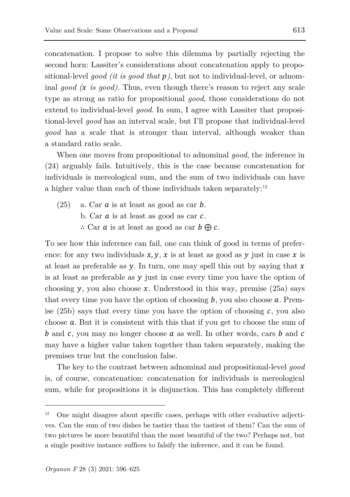concatenation. I propose to solve this dilemma by partially rejecting the second horn: Lassiter's considerations about concatenation apply to propositional-level *good (it is good that )*, but not to individual-level, or adnominal *good ( is good)*. Thus, even though there's reason to reject any scale type as strong as ratio for propositional *good*, those considerations do not extend to individual-level *good*. In sum, I agree with Lassiter that propositional-level *good* has an interval scale, but I'll propose that individual-level *good* has a scale that is stronger than interval, although weaker than a standard ratio scale.

When one moves from propositional to adnominal *good*, the inference in (24) arguably fails. Intuitively, this is the case because concatenation for individuals is mereological sum, and the sum of two individuals can have a higher value than each of those individuals taken separately: $12$ 

 $(25)$  a. Car  $\alpha$  is at least as good as car  $\beta$ . b. Car  $a$  is at least as good as car  $c$ . ∴ Car  $\alpha$  is at least as good as car  $\beta \bigoplus \alpha$ .

To see how this inference can fail, one can think of good in terms of preference: for any two individuals  $x, y, x$  is at least as good as  $y$  just in case x is at least as preferable as  $\gamma$ . In turn, one may spell this out by saying that  $\chi$ is at least as preferable as  $\nu$  just in case every time you have the option of choosing  $\gamma$ , you also choose  $\chi$ . Understood in this way, premise (25a) says that every time you have the option of choosing  $b$ , you also choose  $a$ . Premise (25b) says that every time you have the option of choosing  $c$ , you also choose  $a$ . But it is consistent with this that if you get to choose the sum of b and c, you may no longer choose  $a$  as well. In other words, cars b and c may have a higher value taken together than taken separately, making the premises true but the conclusion false.

The key to the contrast between adnominal and propositional-level *good* is, of course, concatenation: concatenation for individuals is mereological sum, while for propositions it is disjunction. This has completely different

<span id="page-17-0"></span> $12$  One might disagree about specific cases, perhaps with other evaluative adjectives. Can the sum of two dishes be tastier than the tastiest of them? Can the sum of two pictures be more beautiful than the most beautiful of the two? Perhaps not, but a single positive instance suffices to falsify the inference, and it can be found.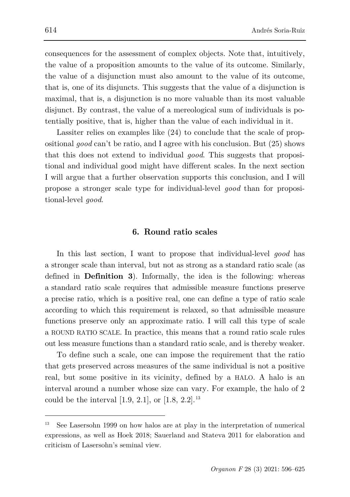consequences for the assessment of complex objects. Note that, intuitively, the value of a proposition amounts to the value of its outcome. Similarly, the value of a disjunction must also amount to the value of its outcome, that is, one of its disjuncts. This suggests that the value of a disjunction is maximal, that is, a disjunction is no more valuable than its most valuable disjunct. By contrast, the value of a mereological sum of individuals is potentially positive, that is, higher than the value of each individual in it.

Lassiter relies on examples like (24) to conclude that the scale of propositional *good* can't be ratio, and I agree with his conclusion. But (25) shows that this does not extend to individual *good*. This suggests that propositional and individual good might have different scales. In the next section I will argue that a further observation supports this conclusion, and I will propose a stronger scale type for individual-level *good* than for propositional-level *good*.

### **6. Round ratio scales**

In this last section, I want to propose that individual-level *good* has a stronger scale than interval, but not as strong as a standard ratio scale (as defined in **Definition 3**). Informally, the idea is the following: whereas a standard ratio scale requires that admissible measure functions preserve a precise ratio, which is a positive real, one can define a type of ratio scale according to which this requirement is relaxed, so that admissible measure functions preserve only an approximate ratio. I will call this type of scale a ROUND RATIO SCALE. In practice, this means that a round ratio scale rules out less measure functions than a standard ratio scale, and is thereby weaker.

To define such a scale, one can impose the requirement that the ratio that gets preserved across measures of the same individual is not a positive real, but some positive in its vicinity, defined by a HALO. A halo is an interval around a number whose size can vary. For example, the halo of 2 could be the interval  $[1.9, 2.1]$ , or  $[1.8, 2.2]$ .<sup>[13](#page-18-0)</sup>

<span id="page-18-0"></span><sup>13</sup> See Lasersohn 1999 on how halos are at play in the interpretation of numerical expressions, as well as Hoek 2018; Sauerland and Stateva 2011 for elaboration and criticism of Lasersohn's seminal view.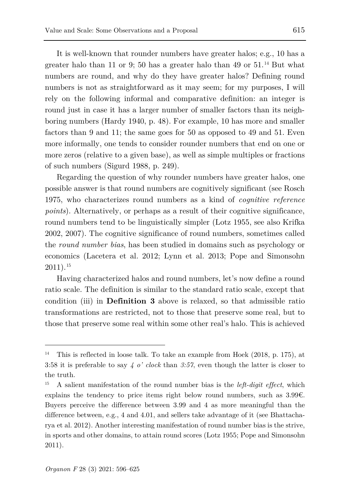It is well-known that rounder numbers have greater halos; e.g., 10 has a greater halo than 11 or 9; 50 has a greater halo than 49 or  $51.^{14}$  $51.^{14}$  $51.^{14}$  But what numbers are round, and why do they have greater halos? Defining round numbers is not as straightforward as it may seem; for my purposes, I will rely on the following informal and comparative definition: an integer is round just in case it has a larger number of smaller factors than its neighboring numbers (Hardy 1940, p. 48). For example, 10 has more and smaller factors than 9 and 11; the same goes for 50 as opposed to 49 and 51. Even more informally, one tends to consider rounder numbers that end on one or more zeros (relative to a given base), as well as simple multiples or fractions of such numbers (Sigurd 1988, p. 249).

Regarding the question of why rounder numbers have greater halos, one possible answer is that round numbers are cognitively significant (see Rosch 1975, who characterizes round numbers as a kind of *cognitive reference points*). Alternatively, or perhaps as a result of their cognitive significance, round numbers tend to be linguistically simpler (Lotz 1955, see also Krifka 2002, 2007). The cognitive significance of round numbers, sometimes called the *round number bias*, has been studied in domains such as psychology or economics (Lacetera et al. 2012; Lynn et al. 2013; Pope and Simonsohn 2011).[15](#page-19-1)

Having characterized halos and round numbers, let's now define a round ratio scale. The definition is similar to the standard ratio scale, except that condition (iii) in **Definition 3** above is relaxed, so that admissible ratio transformations are restricted, not to those that preserve some real, but to those that preserve some real within some other real's halo. This is achieved

<span id="page-19-0"></span><sup>14</sup> This is reflected in loose talk. To take an example from Hoek (2018, p. 175), at 3:58 it is preferable to say *4 o' clock* than *3:57*, even though the latter is closer to the truth.

<span id="page-19-1"></span><sup>15</sup> A salient manifestation of the round number bias is the *left-digit effect*, which explains the tendency to price items right below round numbers, such as  $3.99\epsilon$ . Buyers perceive the difference between 3.99 and 4 as more meaningful than the difference between, e.g., 4 and 4.01, and sellers take advantage of it (see Bhattacharya et al. 2012). Another interesting manifestation of round number bias is the strive, in sports and other domains, to attain round scores (Lotz 1955; Pope and Simonsohn 2011).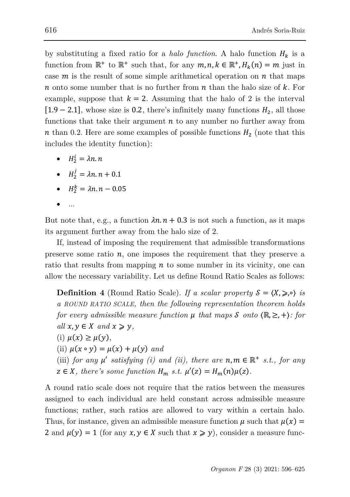by substituting a fixed ratio for a *halo function*. A halo function  $H_k$  is a function from  $\mathbb{R}^+$  to  $\mathbb{R}^+$  such that, for any  $m, n, k \in \mathbb{R}^+, H_\nu(n) = m$  just in case  $m$  is the result of some simple arithmetical operation on  $n$  that maps n onto some number that is no further from  $n$  than the halo size of  $k$ . For example, suppose that  $k = 2$ . Assuming that the halo of 2 is the interval  $[1.9 - 2.1]$ , whose size is 0.2, there's infinitely many functions  $H_2$ , all those functions that take their argument  $n$  to any number no further away from  $n$  than 0.2. Here are some examples of possible functions  $H_2$  (note that this includes the identity function):

- $H_2^i = \lambda n \cdot n$
- $H_2^j = \lambda n \cdot n + 0.1$
- $H_2^k = \lambda n \cdot n 0.05$
- ...

But note that, e.g., a function  $\lambda n \cdot n + 0.3$  is not such a function, as it maps its argument further away from the halo size of 2.

If, instead of imposing the requirement that admissible transformations preserve some ratio  $n$ , one imposes the requirement that they preserve a ratio that results from mapping  $n$  to some number in its vicinity, one can allow the necessary variability. Let us define Round Ratio Scales as follows:

**Definition 4** (Round Ratio Scale). *If a scalar property*  $S = \langle X, \geq, \circ \rangle$  *is a ROUND RATIO SCALE, then the following representation theorem holds for every admissible measure function*  $\mu$  *that maps S onto*  $(\mathbb{R}, \geq, +)$ *: for all*  $x, y \in X$  *and*  $x \ge y$ *,* (i)  $\mu(x) \geq \mu(y)$ , (ii)  $\mu(x \circ y) = \mu(x) + \mu(y)$  and (iii) *for any*  $\mu'$  *satisfying (i) and (ii), there are*  $n, m \in \mathbb{R}^+$  *s.t., for any* 

 $z \in X$ , there's some function  $H_m$  s.t.  $\mu'(z) = H_m(n)\mu(z)$ .

A round ratio scale does not require that the ratios between the measures assigned to each individual are held constant across admissible measure functions; rather, such ratios are allowed to vary within a certain halo. Thus, for instance, given an admissible measure function  $\mu$  such that  $\mu(x) =$ 2 and  $\mu(\gamma) = 1$  (for any  $x, \gamma \in X$  such that  $x \geq \gamma$ ), consider a measure func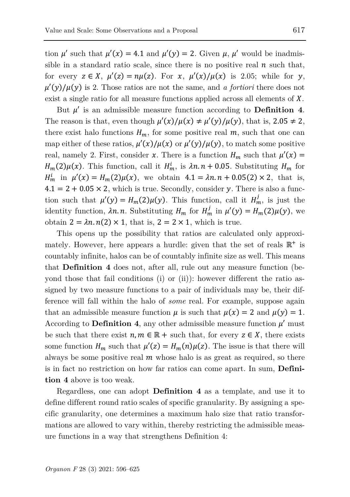tion  $\mu'$  such that  $\mu'(\chi) = 4.1$  and  $\mu'(\gamma) = 2$ . Given  $\mu$ ,  $\mu'$  would be inadmissible in a standard ratio scale, since there is no positive real  $n$  such that, for every  $z \in X$ ,  $\mu'(z) = n\mu(z)$ . For  $x$ ,  $\mu'(x)/\mu(x)$  is 2.05; while for y,  $\mu'(y)/\mu(y)$  is 2. Those ratios are not the same, and *a fortiori* there does not exist a single ratio for all measure functions applied across all elements of  $X$ .

But  $\mu'$  is an admissible measure function according to **Definition 4**. The reason is that, even though  $\mu'(x)/\mu(x) \neq \mu'(y)/\mu(y)$ , that is, 2.05  $\neq$  2, there exist halo functions  $H_m$ , for some positive real  $m$ , such that one can map either of these ratios,  $\mu'(x)/\mu(x)$  or  $\mu'(y)/\mu(y)$ , to match some positive real, namely 2. First, consider x. There is a function  $H_m$  such that  $\mu'(x) =$  $H_m(2)\mu(x)$ . This function, call it  $H_m^i$ , is  $\lambda n \cdot n + 0.05$ . Substituting  $H_m$  for  $H_m^i$  in  $\mu'(x) = H_m(2)\mu(x)$ , we obtain  $4.1 = \lambda n \cdot n + 0.05(2) \times 2$ , that is,  $4.1 = 2 + 0.05 \times 2$ , which is true. Secondly, consider y. There is also a function such that  $\mu'(y) = H_m(2)\mu(y)$ . This function, call it  $H_m^j$ , is just the identity function,  $\lambda n.n.$  Substituting  $H_m$  for  $H'_m$  in  $\mu'(y) = H_m(2)\mu(y)$ , we obtain  $2 = \lambda n \cdot n(2) \times 1$ , that is,  $2 = 2 \times 1$ , which is true.

This opens up the possibility that ratios are calculated only approximately. However, here appears a hurdle: given that the set of reals  $\mathbb{R}^+$  is countably infinite, halos can be of countably infinite size as well. This means that **Definition 4** does not, after all, rule out any measure function (beyond those that fail conditions (i) or (ii)): however different the ratio assigned by two measure functions to a pair of individuals may be, their difference will fall within the halo of *some* real. For example, suppose again that an admissible measure function  $\mu$  is such that  $\mu(x) = 2$  and  $\mu(y) = 1$ . According to **Definition 4**, any other admissible measure function  $\mu'$  must be such that there exist  $n, m \in \mathbb{R}$  + such that, for every  $z \in X$ , there exists some function  $H_m$  such that  $\mu'(z) = H_m(n)\mu(z)$ . The issue is that there will always be some positive real  $m$  whose halo is as great as required, so there is in fact no restriction on how far ratios can come apart. In sum, **Definition 4** above is too weak.

Regardless, one can adopt **Definition 4** as a template, and use it to define different round ratio scales of specific granularity. By assigning a specific granularity, one determines a maximum halo size that ratio transformations are allowed to vary within, thereby restricting the admissible measure functions in a way that strengthens Definition 4: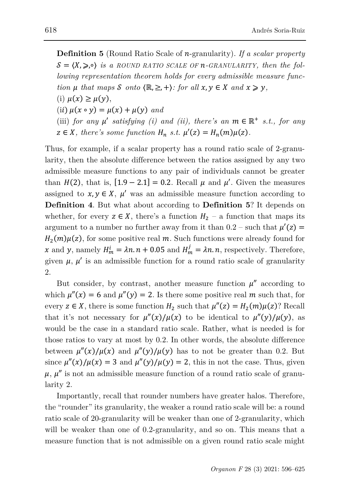**Definition 5** (Round Ratio Scale of *n*-granularity). *If a scalar property*  $\mathcal{S} = \langle X, \geqslant \cdot \rangle$  *is a ROUND RATIO SCALE OF n*-GRANULARITY, then the fol*lowing representation theorem holds for every admissible measure function*  $\mu$  *that maps*  $\mathcal{S}$  *onto*  $\{ \mathbb{R}, \geq, + \}$ *: for all*  $x, y \in X$  *and*  $x \geq y$ *,* (i)  $\mu(x) \geq \mu(y)$ , (ii)  $\mu(x \circ y) = \mu(x) + \mu(y)$  and (iii) *for any*  $\mu'$  *satisfying (i) and (ii), there's an*  $m \in \mathbb{R}^+$  *s.t., for any*  $z \in X$ , there's some function  $H_n$  s.t.  $\mu'(z) = H_n(m)\mu(z)$ .

Thus, for example, if a scalar property has a round ratio scale of 2-granularity, then the absolute difference between the ratios assigned by any two admissible measure functions to any pair of individuals cannot be greater than  $H(2)$ , that is,  $[1.9 - 2.1] = 0.2$ . Recall  $\mu$  and  $\mu'$ . Given the measures assigned to  $x, y \in X$ ,  $u'$  was an admissible measure function according to **Definition 4**. But what about according to **Definition 5**? It depends on whether, for every  $z \in X$ , there's a function  $H_2$  – a function that maps its argument to a number no further away from it than  $0.2$  – such that  $\mu'(z)$  =  $H_2(m)\mu(z)$ , for some positive real m. Such functions were already found for x and y, namely  $H_m^i = \lambda n \cdot n + 0.05$  and  $H_m^j = \lambda n \cdot n$ , respectively. Therefore, given  $\mu$ ,  $\mu'$  is an admissible function for a round ratio scale of granularity 2.

But consider, by contrast, another measure function  $\mu''$  according to which  $\mu''(x) = 6$  and  $\mu''(y) = 2$ . Is there some positive real m such that, for every  $z \in X$ , there is some function  $H_2$  such that  $\mu''(z) = H_2(m)\mu(z)$ ? Recall that it's not necessary for  $\mu''(x)/\mu(x)$  to be identical to  $\mu''(y)/\mu(y)$ , as would be the case in a standard ratio scale. Rather, what is needed is for those ratios to vary at most by 0.2. In other words, the absolute difference between  $\mu''(x)/\mu(x)$  and  $\mu''(y)/\mu(y)$  has to not be greater than 0.2. But since  $\mu''(x)/\mu(x) = 3$  and  $\mu''(y)/\mu(y) = 2$ , this in not the case. Thus, given  $\mu$ ,  $\mu''$  is not an admissible measure function of a round ratio scale of granularity 2.

Importantly, recall that rounder numbers have greater halos. Therefore, the "rounder" its granularity, the weaker a round ratio scale will be: a round ratio scale of 20-granularity will be weaker than one of 2-granularity, which will be weaker than one of 0.2-granularity, and so on. This means that a measure function that is not admissible on a given round ratio scale might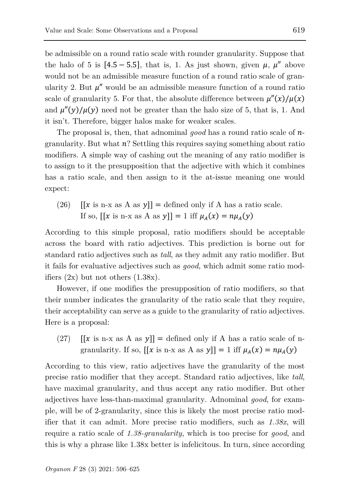be admissible on a round ratio scale with rounder granularity. Suppose that the halo of 5 is  $[4.5 - 5.5]$ , that is, 1. As just shown, given  $\mu$ ,  $\mu''$  above would not be an admissible measure function of a round ratio scale of granularity 2. But  $\mu''$  would be an admissible measure function of a round ratio scale of granularity 5. For that, the absolute difference between  $\mu''(x)/\mu(x)$ and  $\mu''(y)/\mu(y)$  need not be greater than the halo size of 5, that is, 1. And it isn't. Therefore, bigger halos make for weaker scales.

The proposal is, then, that adnominal *good* has a round ratio scale of  $n$ granularity. But what  $n$ ? Settling this requires saying something about ratio modifiers. A simple way of cashing out the meaning of any ratio modifier is to assign to it the presupposition that the adjective with which it combines has a ratio scale, and then assign to it the at-issue meaning one would expect:

(26)  $[[x \text{ is n-x as A as } y]] = \text{defined only if A has a ratio scale.}$ If so,  $[[x \text{ is n-x as A as } y]] = 1$  iff  $\mu_A(x) = n\mu_A(y)$ 

According to this simple proposal, ratio modifiers should be acceptable across the board with ratio adjectives. This prediction is borne out for standard ratio adjectives such as *tall*, as they admit any ratio modifier. But it fails for evaluative adjectives such as *good*, which admit some ratio modifiers  $(2x)$  but not others  $(1.38x)$ .

However, if one modifies the presupposition of ratio modifiers, so that their number indicates the granularity of the ratio scale that they require, their acceptability can serve as a guide to the granularity of ratio adjectives. Here is a proposal:

(27)  $[[x \text{ is n-x as A as } y]] = \text{defined only if A has a ratio scale of n-}$ granularity. If so,  $[[x \text{ is n-x as A as } y]] = 1$  iff  $\mu_A(x) = n\mu_A(y)$ 

According to this view, ratio adjectives have the granularity of the most precise ratio modifier that they accept. Standard ratio adjectives, like *tall*, have maximal granularity, and thus accept any ratio modifier. But other adjectives have less-than-maximal granularity. Adnominal *good*, for example, will be of 2-granularity, since this is likely the most precise ratio modifier that it can admit. More precise ratio modifiers, such as *1.38x*, will require a ratio scale of *1.38-granularity*, which is too precise for *good*, and this is why a phrase like 1.38x better is infelicitous. In turn, since according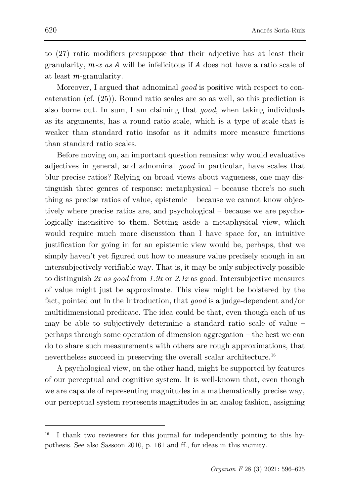to (27) ratio modifiers presuppose that their adjective has at least their granularity,  $m-x$  as  $A$  will be infelicitous if  $A$  does not have a ratio scale of at least  $m$ -granularity.

Moreover, I argued that adnominal *good* is positive with respect to concatenation (cf. (25)). Round ratio scales are so as well, so this prediction is also borne out. In sum, I am claiming that *good*, when taking individuals as its arguments, has a round ratio scale, which is a type of scale that is weaker than standard ratio insofar as it admits more measure functions than standard ratio scales.

Before moving on, an important question remains: why would evaluative adjectives in general, and adnominal *good* in particular, have scales that blur precise ratios? Relying on broad views about vagueness, one may distinguish three genres of response: metaphysical – because there's no such thing as precise ratios of value, epistemic – because we cannot know objectively where precise ratios are, and psychological – because we are psychologically insensitive to them. Setting aside a metaphysical view, which would require much more discussion than I have space for, an intuitive justification for going in for an epistemic view would be, perhaps, that we simply haven't yet figured out how to measure value precisely enough in an intersubjectively verifiable way. That is, it may be only subjectively possible to distinguish *2x as good* from *1.9x* or *2.1x* as good. Intersubjective measures of value might just be approximate. This view might be bolstered by the fact, pointed out in the Introduction, that *good* is a judge-dependent and/or multidimensional predicate. The idea could be that, even though each of us may be able to subjectively determine a standard ratio scale of value – perhaps through some operation of dimension aggregation – the best we can do to share such measurements with others are rough approximations, that nevertheless succeed in preserving the overall scalar architecture.<sup>[16](#page-24-0)</sup>

A psychological view, on the other hand, might be supported by features of our perceptual and cognitive system. It is well-known that, even though we are capable of representing magnitudes in a mathematically precise way, our perceptual system represents magnitudes in an analog fashion, assigning

<span id="page-24-0"></span>I thank two reviewers for this journal for independently pointing to this hypothesis. See also Sassoon 2010, p. 161 and ff., for ideas in this vicinity.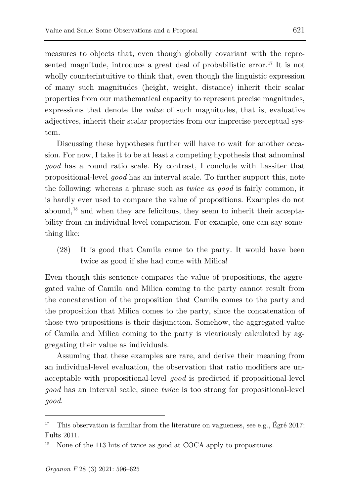measures to objects that, even though globally covariant with the repre-sented magnitude, introduce a great deal of probabilistic error.<sup>[17](#page-25-0)</sup> It is not wholly counterintuitive to think that, even though the linguistic expression of many such magnitudes (height, weight, distance) inherit their scalar properties from our mathematical capacity to represent precise magnitudes, expressions that denote the *value* of such magnitudes, that is, evaluative adjectives, inherit their scalar properties from our imprecise perceptual system.

Discussing these hypotheses further will have to wait for another occasion. For now, I take it to be at least a competing hypothesis that adnominal *good* has a round ratio scale. By contrast, I conclude with Lassiter that propositional-level *good* has an interval scale. To further support this, note the following: whereas a phrase such as *twice as good* is fairly common, it is hardly ever used to compare the value of propositions. Examples do not abound, [18](#page-25-1) and when they are felicitous, they seem to inherit their acceptability from an individual-level comparison. For example, one can say something like:

(28) It is good that Camila came to the party. It would have been twice as good if she had come with Milica!

Even though this sentence compares the value of propositions, the aggregated value of Camila and Milica coming to the party cannot result from the concatenation of the proposition that Camila comes to the party and the proposition that Milica comes to the party, since the concatenation of those two propositions is their disjunction. Somehow, the aggregated value of Camila and Milica coming to the party is vicariously calculated by aggregating their value as individuals.

Assuming that these examples are rare, and derive their meaning from an individual-level evaluation, the observation that ratio modifiers are unacceptable with propositional-level *good* is predicted if propositional-level *good* has an interval scale, since *twice* is too strong for propositional-level *good*.

<span id="page-25-0"></span><sup>17</sup> This observation is familiar from the literature on vagueness, see e.g., Égré 2017; Fults 2011.

<span id="page-25-1"></span>None of the 113 hits of twice as good at COCA apply to propositions.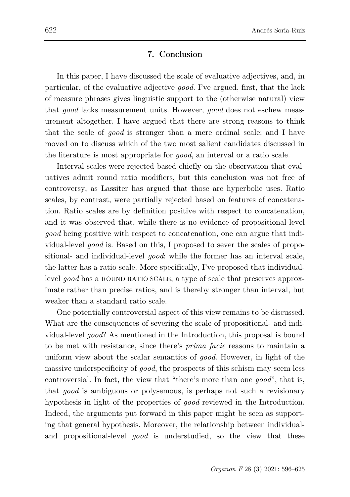### **7. Conclusion**

In this paper, I have discussed the scale of evaluative adjectives, and, in particular, of the evaluative adjective *good*. I've argued, first, that the lack of measure phrases gives linguistic support to the (otherwise natural) view that *good* lacks measurement units. However, *good* does not eschew measurement altogether. I have argued that there are strong reasons to think that the scale of *good* is stronger than a mere ordinal scale; and I have moved on to discuss which of the two most salient candidates discussed in the literature is most appropriate for *good*, an interval or a ratio scale.

Interval scales were rejected based chiefly on the observation that evaluatives admit round ratio modifiers, but this conclusion was not free of controversy, as Lassiter has argued that those are hyperbolic uses. Ratio scales, by contrast, were partially rejected based on features of concatenation. Ratio scales are by definition positive with respect to concatenation, and it was observed that, while there is no evidence of propositional-level *good* being positive with respect to concatenation, one can argue that individual-level *good* is. Based on this, I proposed to sever the scales of propositional- and individual-level *good*: while the former has an interval scale, the latter has a ratio scale. More specifically, I've proposed that individuallevel *good* has a ROUND RATIO SCALE, a type of scale that preserves approximate rather than precise ratios, and is thereby stronger than interval, but weaker than a standard ratio scale.

One potentially controversial aspect of this view remains to be discussed. What are the consequences of severing the scale of propositional- and individual-level *good*? As mentioned in the Introduction, this proposal is bound to be met with resistance, since there's *prima facie* reasons to maintain a uniform view about the scalar semantics of *good*. However, in light of the massive underspecificity of *good*, the prospects of this schism may seem less controversial. In fact, the view that "there's more than one *good*", that is, that *good* is ambiguous or polysemous, is perhaps not such a revisionary hypothesis in light of the properties of *good* reviewed in the Introduction. Indeed, the arguments put forward in this paper might be seen as supporting that general hypothesis. Moreover, the relationship between individualand propositional-level *good* is understudied, so the view that these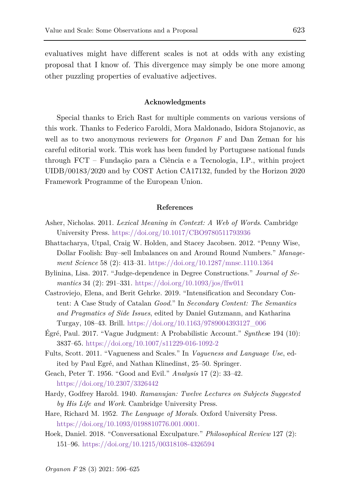evaluatives might have different scales is not at odds with any existing proposal that I know of. This divergence may simply be one more among other puzzling properties of evaluative adjectives.

#### **Acknowledgments**

Special thanks to Erich Rast for multiple comments on various versions of this work. Thanks to Federico Faroldi, Mora Maldonado, Isidora Stojanovic, as well as to two anonymous reviewers for *Organon F* and Dan Zeman for his careful editorial work. This work has been funded by Portuguese national funds through FCT – Fundação para a Ciência e a Tecnologia, I.P., within project UIDB/00183/2020 and by COST Action CA17132, funded by the Horizon 2020 Framework Programme of the European Union.

#### **References**

- Asher, Nicholas. 2011. *Lexical Meaning in Context: A Web of Words*. Cambridge University Press.<https://doi.org/10.1017/CBO9780511793936>
- Bhattacharya, Utpal, Craig W. Holden, and Stacey Jacobsen. 2012. "Penny Wise, Dollar Foolish: Buy–sell Imbalances on and Around Round Numbers." *Management Science* 58 (2): 413–31.<https://doi.org/10.1287/mnsc.1110.1364>
- Bylinina, Lisa. 2017. "Judge-dependence in Degree Constructions." *Journal of Semantics* 34 (2): 291–331.<https://doi.org/10.1093/jos/ffw011>
- Castroviejo, Elena, and Berit Gehrke. 2019. "Intensification and Secondary Content: A Case Study of Catalan *Good*." In *Secondary Content: The Semantics and Pragmatics of Side Issues*, edited by Daniel Gutzmann, and Katharina Turgay, 108–43. Brill. [https://doi.org/10.1163/9789004393127\\_006](https://doi.org/10.1163/9789004393127_006)
- Égré, Paul. 2017. "Vague Judgment: A Probabilistic Account." *Synthes*e 194 (10): 3837–65[. https://doi.org/10.1007/s11229-016-1092-2](https://doi.org/10.1007/s11229-016-1092-2)
- Fults, Scott. 2011. "Vagueness and Scales." In *Vagueness and Language Use*, edited by Paul Egré, and Nathan Klinedinst, 25–50. Springer.
- Geach, Peter T. 1956. "Good and Evil." *Analysis* 17 (2): 33–42. <https://doi.org/10.2307/3326442>
- Hardy, Godfrey Harold. 1940. *Ramanujan: Twelve Lectures on Subjects Suggested by His Life and Work*. Cambridge University Press.
- Hare, Richard M. 1952. *The Language of Morals*. Oxford University Press. [https://doi.org/10.1093/0198810776.001.0001.](https://doi.org/10.1093/0198810776.001.0001)
- Hoek, Daniel. 2018. "Conversational Exculpature." *Philosophical Review* 127 (2): 151–96.<https://doi.org/10.1215/00318108-4326594>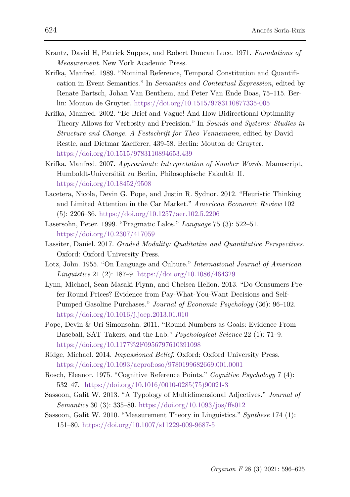- Krantz, David H, Patrick Suppes, and Robert Duncan Luce. 1971. *Foundations of Measurement*. New York Academic Press.
- Krifka, Manfred. 1989. "Nominal Reference, Temporal Constitution and Quantification in Event Semantics." In *Semantics and Contextual Expression*, edited by Renate Bartsch, Johan Van Benthem, and Peter Van Ende Boas, 75–115. Berlin: Mouton de Gruyter.<https://doi.org/10.1515/9783110877335-005>
- Krifka, Manfred. 2002. "Be Brief and Vague! And How Bidirectional Optimality Theory Allows for Verbosity and Precision." In *Sounds and Systems: Studies in Structure and Change. A Festschrift for Theo Vennemann*, edited by David Restle, and Dietmar Zaefferer, 439-58. Berlin: Mouton de Gruyter. <https://doi.org/10.1515/9783110894653.439>
- Krifka, Manfred. 2007. *Approximate Interpretation of Number Words*. Manuscript, Humboldt-Universität zu Berlin, Philosophische Fakultät II. <https://doi.org/10.18452/9508>
- Lacetera, Nicola, Devin G. Pope, and Justin R. Sydnor. 2012. "Heuristic Thinking and Limited Attention in the Car Market." *American Economic Review* 102 (5): 2206–36.<https://doi.org/10.1257/aer.102.5.2206>
- Lasersohn, Peter. 1999. "Pragmatic Lalos." *Language* 75 (3): 522–51. <https://doi.org/10.2307/417059>
- Lassiter, Daniel. 2017. *Graded Modality: Qualitative and Quantitative Perspectives*. Oxford: Oxford University Press.
- Lotz, John. 1955. "On Language and Culture." *International Journal of American Linguistics* 21 (2): 187–9.<https://doi.org/10.1086/464329>
- Lynn, Michael, Sean Masaki Flynn, and Chelsea Helion. 2013. "Do Consumers Prefer Round Prices? Evidence from Pay-What-You-Want Decisions and Self-Pumped Gasoline Purchases." *Journal of Economic Psychology* (36): 96–102. <https://doi.org/10.1016/j.joep.2013.01.010>
- Pope, Devin & Uri Simonsohn. 2011. "Round Numbers as Goals: Evidence From Baseball, SAT Takers, and the Lab." *Psychological Science* 22 (1): 71–9. [https://doi.org/10.1177%2F0956797610391098](https://doi.org/10.1177%252F0956797610391098)
- Ridge, Michael. 2014. *Impassioned Belief*. Oxford: Oxford University Press. <https://doi.org/10.1093/acprof:oso/9780199682669.001.0001>
- Rosch, Eleanor. 1975. "Cognitive Reference Points." *Cognitive Psychology* 7 (4): 532–47. [https://doi.org/10.1016/0010-0285\(75\)90021-3](https://doi.org/10.1016/0010-0285(75)90021-3)
- Sassoon, Galit W. 2013. "A Typology of Multidimensional Adjectives." *Journal of Semantics* 30 (3): 335–80.<https://doi.org/10.1093/jos/ffs012>
- Sassoon, Galit W. 2010. "Measurement Theory in Linguistics." *Synthese* 174 (1): 151–80.<https://doi.org/10.1007/s11229-009-9687-5>